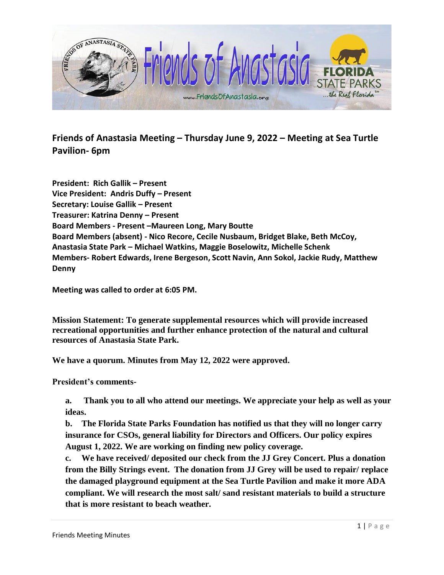

**Friends of Anastasia Meeting – Thursday June 9, 2022 – Meeting at Sea Turtle Pavilion- 6pm**

**President: Rich Gallik – Present Vice President: Andris Duffy – Present Secretary: Louise Gallik – Present Treasurer: Katrina Denny – Present Board Members - Present –Maureen Long, Mary Boutte Board Members (absent) - Nico Recore, Cecile Nusbaum, Bridget Blake, Beth McCoy, Anastasia State Park – Michael Watkins, Maggie Boselowitz, Michelle Schenk Members- Robert Edwards, Irene Bergeson, Scott Navin, Ann Sokol, Jackie Rudy, Matthew Denny**

**Meeting was called to order at 6:05 PM.** 

**Mission Statement: To generate supplemental resources which will provide increased recreational opportunities and further enhance protection of the natural and cultural resources of Anastasia State Park.**

**We have a quorum. Minutes from May 12, 2022 were approved.** 

**President's comments-**

**a. Thank you to all who attend our meetings. We appreciate your help as well as your ideas.**

**b. The Florida State Parks Foundation has notified us that they will no longer carry insurance for CSOs, general liability for Directors and Officers. Our policy expires August 1, 2022. We are working on finding new policy coverage.** 

**c. We have received/ deposited our check from the JJ Grey Concert. Plus a donation from the Billy Strings event. The donation from JJ Grey will be used to repair/ replace the damaged playground equipment at the Sea Turtle Pavilion and make it more ADA compliant. We will research the most salt/ sand resistant materials to build a structure that is more resistant to beach weather.**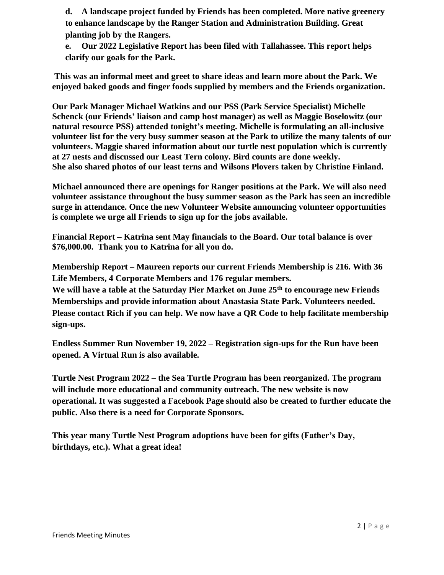**d. A landscape project funded by Friends has been completed. More native greenery to enhance landscape by the Ranger Station and Administration Building. Great planting job by the Rangers.**

**e. Our 2022 Legislative Report has been filed with Tallahassee. This report helps clarify our goals for the Park.**

**This was an informal meet and greet to share ideas and learn more about the Park. We enjoyed baked goods and finger foods supplied by members and the Friends organization.**

**Our Park Manager Michael Watkins and our PSS (Park Service Specialist) Michelle Schenck (our Friends' liaison and camp host manager) as well as Maggie Boselowitz (our natural resource PSS) attended tonight's meeting. Michelle is formulating an all-inclusive volunteer list for the very busy summer season at the Park to utilize the many talents of our volunteers. Maggie shared information about our turtle nest population which is currently at 27 nests and discussed our Least Tern colony. Bird counts are done weekly. She also shared photos of our least terns and Wilsons Plovers taken by Christine Finland.**

**Michael announced there are openings for Ranger positions at the Park. We will also need volunteer assistance throughout the busy summer season as the Park has seen an incredible surge in attendance. Once the new Volunteer Website announcing volunteer opportunities is complete we urge all Friends to sign up for the jobs available.**

**Financial Report – Katrina sent May financials to the Board. Our total balance is over \$76,000.00. Thank you to Katrina for all you do.**

**Membership Report – Maureen reports our current Friends Membership is 216. With 36 Life Members, 4 Corporate Members and 176 regular members.** 

**We will have a table at the Saturday Pier Market on June 25th to encourage new Friends Memberships and provide information about Anastasia State Park. Volunteers needed. Please contact Rich if you can help. We now have a QR Code to help facilitate membership sign-ups.**

**Endless Summer Run November 19, 2022 – Registration sign-ups for the Run have been opened. A Virtual Run is also available.**

**Turtle Nest Program 2022 – the Sea Turtle Program has been reorganized. The program will include more educational and community outreach. The new website is now operational. It was suggested a Facebook Page should also be created to further educate the public. Also there is a need for Corporate Sponsors.**

**This year many Turtle Nest Program adoptions have been for gifts (Father's Day, birthdays, etc.). What a great idea!**